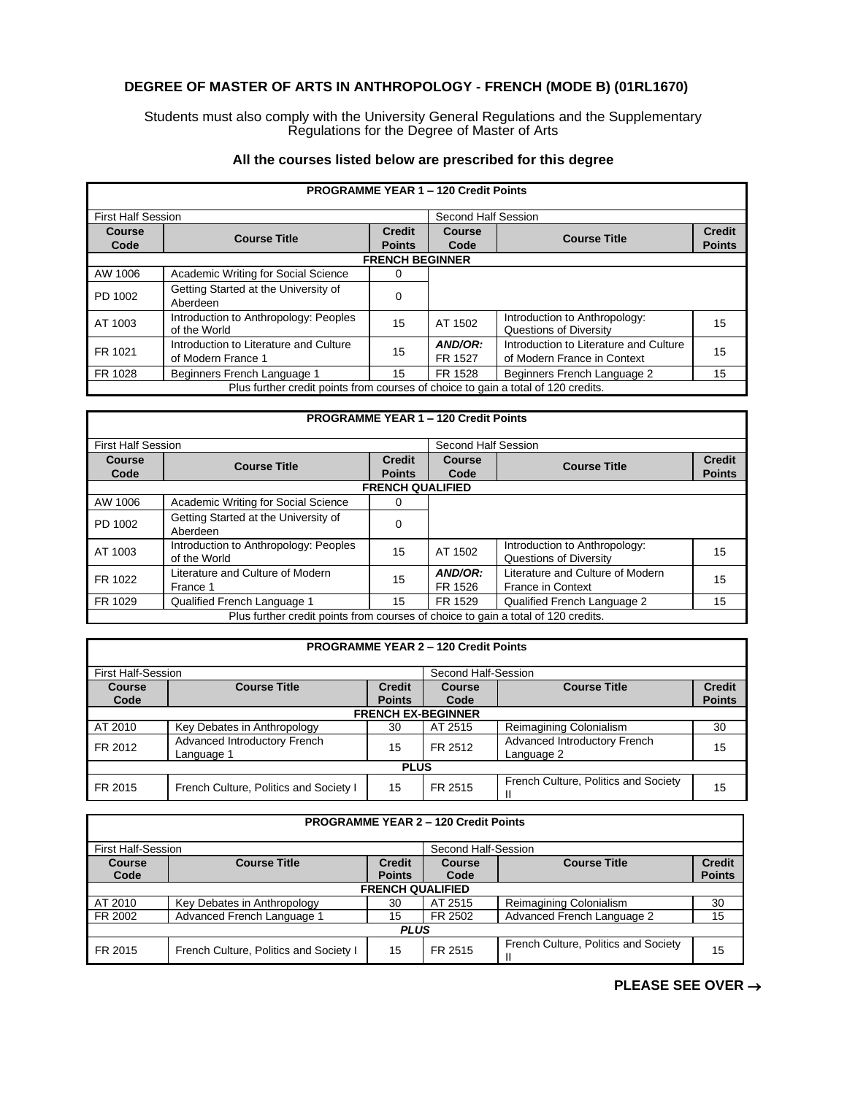## **DEGREE OF MASTER OF ARTS IN ANTHROPOLOGY - FRENCH (MODE B) (01RL1670)**

Students must also comply with the University General Regulations and the Supplementary Regulations for the Degree of Master of Arts

## **All the courses listed below are prescribed for this degree**

| <b>PROGRAMME YEAR 1 - 120 Credit Points</b>                                       |                                                              |                                |                       |                                                                       |                                |  |  |
|-----------------------------------------------------------------------------------|--------------------------------------------------------------|--------------------------------|-----------------------|-----------------------------------------------------------------------|--------------------------------|--|--|
| <b>First Half Session</b>                                                         |                                                              |                                | Second Half Session   |                                                                       |                                |  |  |
| <b>Course</b><br>Code                                                             | <b>Course Title</b>                                          | <b>Credit</b><br><b>Points</b> | <b>Course</b><br>Code | <b>Course Title</b>                                                   | <b>Credit</b><br><b>Points</b> |  |  |
|                                                                                   | <b>FRENCH BEGINNER</b>                                       |                                |                       |                                                                       |                                |  |  |
| AW 1006                                                                           | Academic Writing for Social Science                          | 0                              |                       |                                                                       |                                |  |  |
| PD 1002                                                                           | Getting Started at the University of<br>Aberdeen             | $\Omega$                       |                       |                                                                       |                                |  |  |
| AT 1003                                                                           | Introduction to Anthropology: Peoples<br>of the World        | 15                             | AT 1502               | Introduction to Anthropology:<br>Questions of Diversity               | 15                             |  |  |
| FR 1021                                                                           | Introduction to Literature and Culture<br>of Modern France 1 | 15                             | AND/OR:<br>FR 1527    | Introduction to Literature and Culture<br>of Modern France in Context | 15                             |  |  |
| FR 1028                                                                           | Beginners French Language 1                                  | 15                             | FR 1528               | Beginners French Language 2                                           | 15                             |  |  |
| Plus further credit points from courses of choice to gain a total of 120 credits. |                                                              |                                |                       |                                                                       |                                |  |  |

## **PROGRAMME YEAR 1 – 120 Credit Points** First Half Session **Second Half Session** Second Half Session **Course Code Course Title Credit Points Course Course Course Title Credit Credit Course Title Credit Points Points FRENCH QUALIFIED** AW 1006 | Academic Writing for Social Science | 0 PD 1002 Getting Started at the University of **Carry Contract Contract A** Co AT 1003 | Introduction to Anthropology: Peoples | 15 | AT 1502 | Introduction to Anthropology:<br>
of the World Cuestions of Diversity Introduction to Anthropology:<br>Questions of Diversity 15 FR 1022 | Literature and Culture of Modern | 15 | **AND/OR:**<br>France 1 | France 1 FR 1526 Literature and Culture of Modern France in Context 15 FR 1029 Qualified French Language 1 15 FR 1529 Qualified French Language 2 15 Plus further credit points from courses of choice to gain a total of 120 credits.

| <b>PROGRAMME YEAR 2 - 120 Credit Points</b> |                                        |               |                     |                                      |               |  |
|---------------------------------------------|----------------------------------------|---------------|---------------------|--------------------------------------|---------------|--|
| <b>First Half-Session</b>                   |                                        |               | Second Half-Session |                                      |               |  |
| <b>Course</b>                               | <b>Course Title</b>                    | <b>Credit</b> | <b>Course</b>       | <b>Course Title</b>                  | <b>Credit</b> |  |
| Code                                        |                                        | <b>Points</b> | Code                |                                      | <b>Points</b> |  |
| <b>FRENCH EX-BEGINNER</b>                   |                                        |               |                     |                                      |               |  |
| AT 2010                                     | Key Debates in Anthropology            | 30            | AT 2515             | Reimagining Colonialism              | 30            |  |
| FR 2012                                     | Advanced Introductory French           | 15            | FR 2512             | Advanced Introductory French         | 15            |  |
|                                             | Language 1                             |               |                     | Language 2                           |               |  |
| <b>PLUS</b>                                 |                                        |               |                     |                                      |               |  |
| FR 2015                                     | French Culture, Politics and Society I | 15            | FR 2515             | French Culture, Politics and Society | 15            |  |

| <b>PROGRAMME YEAR 2 - 120 Credit Points</b>           |                                                  |               |                     |                                      |               |  |  |
|-------------------------------------------------------|--------------------------------------------------|---------------|---------------------|--------------------------------------|---------------|--|--|
|                                                       | <b>First Half-Session</b><br>Second Half-Session |               |                     |                                      |               |  |  |
| <b>Course Title</b><br><b>Credit</b><br><b>Course</b> |                                                  | <b>Course</b> | <b>Course Title</b> | <b>Credit</b>                        |               |  |  |
| Code                                                  |                                                  | <b>Points</b> | Code                |                                      | <b>Points</b> |  |  |
| <b>FRENCH QUALIFIED</b>                               |                                                  |               |                     |                                      |               |  |  |
| AT 2010                                               | Key Debates in Anthropology                      | 30            | AT 2515             | Reimagining Colonialism              | 30            |  |  |
| FR 2002                                               | Advanced French Language 1                       | 15            | FR 2502             | Advanced French Language 2           | 15            |  |  |
| <b>PLUS</b>                                           |                                                  |               |                     |                                      |               |  |  |
| FR 2015                                               | French Culture, Politics and Society I           | 15            | FR 2515             | French Culture, Politics and Society | 15            |  |  |

## **PLEASE SEE OVER** →